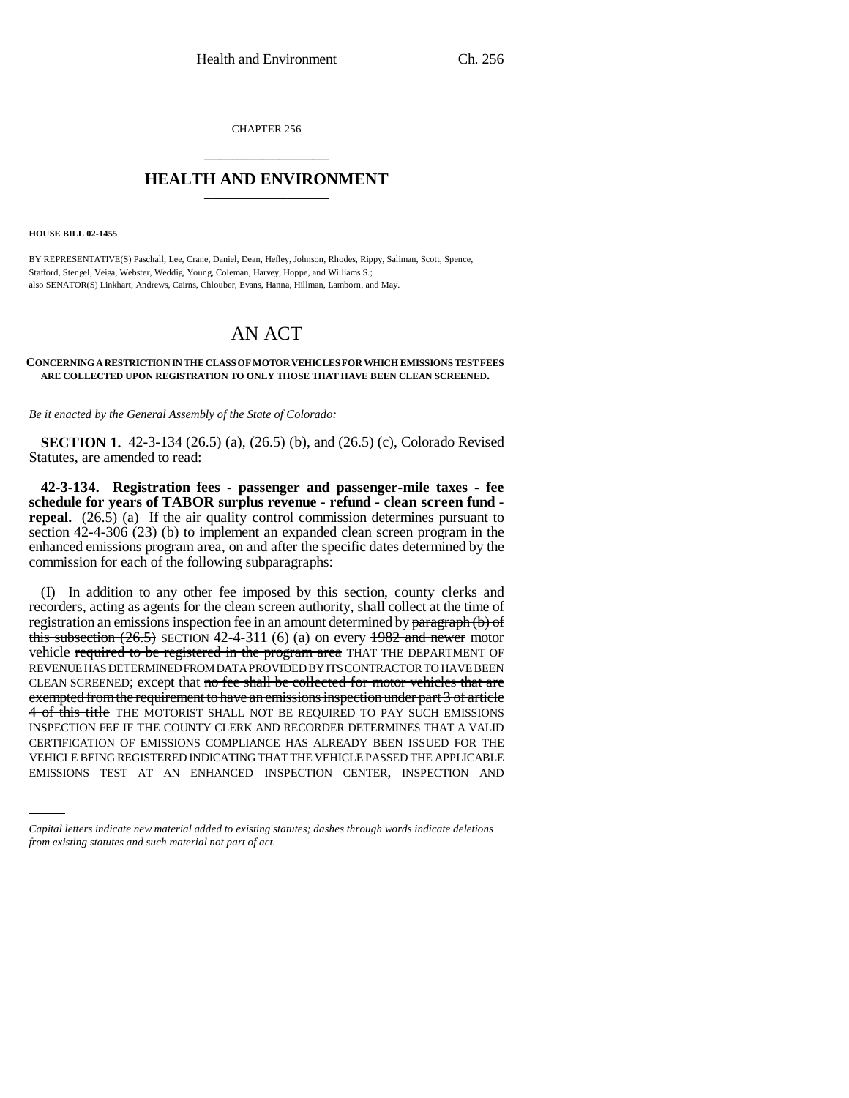CHAPTER 256 \_\_\_\_\_\_\_\_\_\_\_\_\_\_\_

## **HEALTH AND ENVIRONMENT** \_\_\_\_\_\_\_\_\_\_\_\_\_\_\_

**HOUSE BILL 02-1455**

BY REPRESENTATIVE(S) Paschall, Lee, Crane, Daniel, Dean, Hefley, Johnson, Rhodes, Rippy, Saliman, Scott, Spence, Stafford, Stengel, Veiga, Webster, Weddig, Young, Coleman, Harvey, Hoppe, and Williams S.; also SENATOR(S) Linkhart, Andrews, Cairns, Chlouber, Evans, Hanna, Hillman, Lamborn, and May.

## AN ACT

## **CONCERNING A RESTRICTION IN THE CLASS OF MOTOR VEHICLES FOR WHICH EMISSIONS TEST FEES ARE COLLECTED UPON REGISTRATION TO ONLY THOSE THAT HAVE BEEN CLEAN SCREENED.**

*Be it enacted by the General Assembly of the State of Colorado:*

**SECTION 1.** 42-3-134 (26.5) (a), (26.5) (b), and (26.5) (c), Colorado Revised Statutes, are amended to read:

**42-3-134. Registration fees - passenger and passenger-mile taxes - fee schedule for years of TABOR surplus revenue - refund - clean screen fund repeal.**  $(26.5)$  (a) If the air quality control commission determines pursuant to section 42-4-306 (23) (b) to implement an expanded clean screen program in the enhanced emissions program area, on and after the specific dates determined by the commission for each of the following subparagraphs:

CERTIFICATION OF EMISSIONS COMPLIANCE HAS ALREADY BEEN ISSUED FOR THE (I) In addition to any other fee imposed by this section, county clerks and recorders, acting as agents for the clean screen authority, shall collect at the time of registration an emissions inspection fee in an amount determined by  $\frac{\partial^2 f}{\partial x^2}$ this subsection  $(26.5)$  SECTION 42-4-311 (6) (a) on every  $1982$  and newer motor vehicle required to be registered in the program area THAT THE DEPARTMENT OF REVENUE HAS DETERMINED FROM DATA PROVIDED BY ITS CONTRACTOR TO HAVE BEEN CLEAN SCREENED; except that no fee shall be collected for motor vehicles that are exempted from the requirement to have an emissions inspection under part 3 of article 4 of this title THE MOTORIST SHALL NOT BE REQUIRED TO PAY SUCH EMISSIONS INSPECTION FEE IF THE COUNTY CLERK AND RECORDER DETERMINES THAT A VALID VEHICLE BEING REGISTERED INDICATING THAT THE VEHICLE PASSED THE APPLICABLE EMISSIONS TEST AT AN ENHANCED INSPECTION CENTER, INSPECTION AND

*Capital letters indicate new material added to existing statutes; dashes through words indicate deletions from existing statutes and such material not part of act.*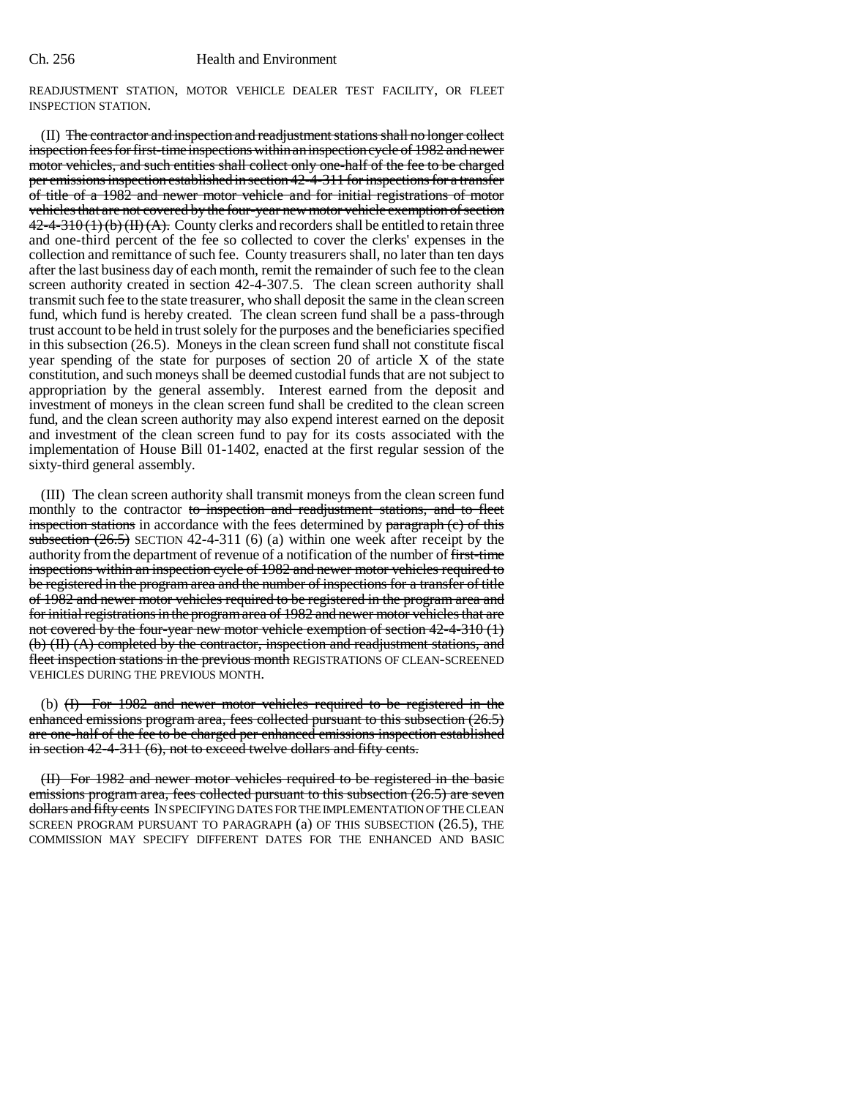READJUSTMENT STATION, MOTOR VEHICLE DEALER TEST FACILITY, OR FLEET INSPECTION STATION.

(II) The contractor and inspection and readjustment stations shall no longer collect inspection fees for first-time inspections within an inspection cycle of 1982 and newer motor vehicles, and such entities shall collect only one-half of the fee to be charged per emissions inspection established in section 42-4-311 for inspections for a transfer of title of a 1982 and newer motor vehicle and for initial registrations of motor vehicles that are not covered by the four-year new motor vehicle exemption of section  $42-4-310(1)(b)(H)(A)$ . County clerks and recorders shall be entitled to retain three and one-third percent of the fee so collected to cover the clerks' expenses in the collection and remittance of such fee. County treasurers shall, no later than ten days after the last business day of each month, remit the remainder of such fee to the clean screen authority created in section 42-4-307.5. The clean screen authority shall transmit such fee to the state treasurer, who shall deposit the same in the clean screen fund, which fund is hereby created. The clean screen fund shall be a pass-through trust account to be held in trust solely for the purposes and the beneficiaries specified in this subsection (26.5). Moneys in the clean screen fund shall not constitute fiscal year spending of the state for purposes of section 20 of article X of the state constitution, and such moneys shall be deemed custodial funds that are not subject to appropriation by the general assembly. Interest earned from the deposit and investment of moneys in the clean screen fund shall be credited to the clean screen fund, and the clean screen authority may also expend interest earned on the deposit and investment of the clean screen fund to pay for its costs associated with the implementation of House Bill 01-1402, enacted at the first regular session of the sixty-third general assembly.

(III) The clean screen authority shall transmit moneys from the clean screen fund monthly to the contractor to inspection and readjustment stations, and to fleet inspection stations in accordance with the fees determined by paragraph (c) of this subsection  $(26.5)$  SECTION 42-4-311 (6) (a) within one week after receipt by the authority from the department of revenue of a notification of the number of first-time inspections within an inspection cycle of 1982 and newer motor vehicles required to be registered in the program area and the number of inspections for a transfer of title of 1982 and newer motor vehicles required to be registered in the program area and for initial registrations in the program area of 1982 and newer motor vehicles that are not covered by the four-year new motor vehicle exemption of section 42-4-310 (1) (b) (II) (A) completed by the contractor, inspection and readjustment stations, and fleet inspection stations in the previous month REGISTRATIONS OF CLEAN-SCREENED VEHICLES DURING THE PREVIOUS MONTH.

(b) (I) For 1982 and newer motor vehicles required to be registered in the enhanced emissions program area, fees collected pursuant to this subsection (26.5) are one-half of the fee to be charged per enhanced emissions inspection established in section 42-4-311 (6), not to exceed twelve dollars and fifty cents.

(II) For 1982 and newer motor vehicles required to be registered in the basic emissions program area, fees collected pursuant to this subsection (26.5) are seven dollars and fifty cents IN SPECIFYING DATES FOR THE IMPLEMENTATION OF THE CLEAN SCREEN PROGRAM PURSUANT TO PARAGRAPH (a) OF THIS SUBSECTION (26.5), THE COMMISSION MAY SPECIFY DIFFERENT DATES FOR THE ENHANCED AND BASIC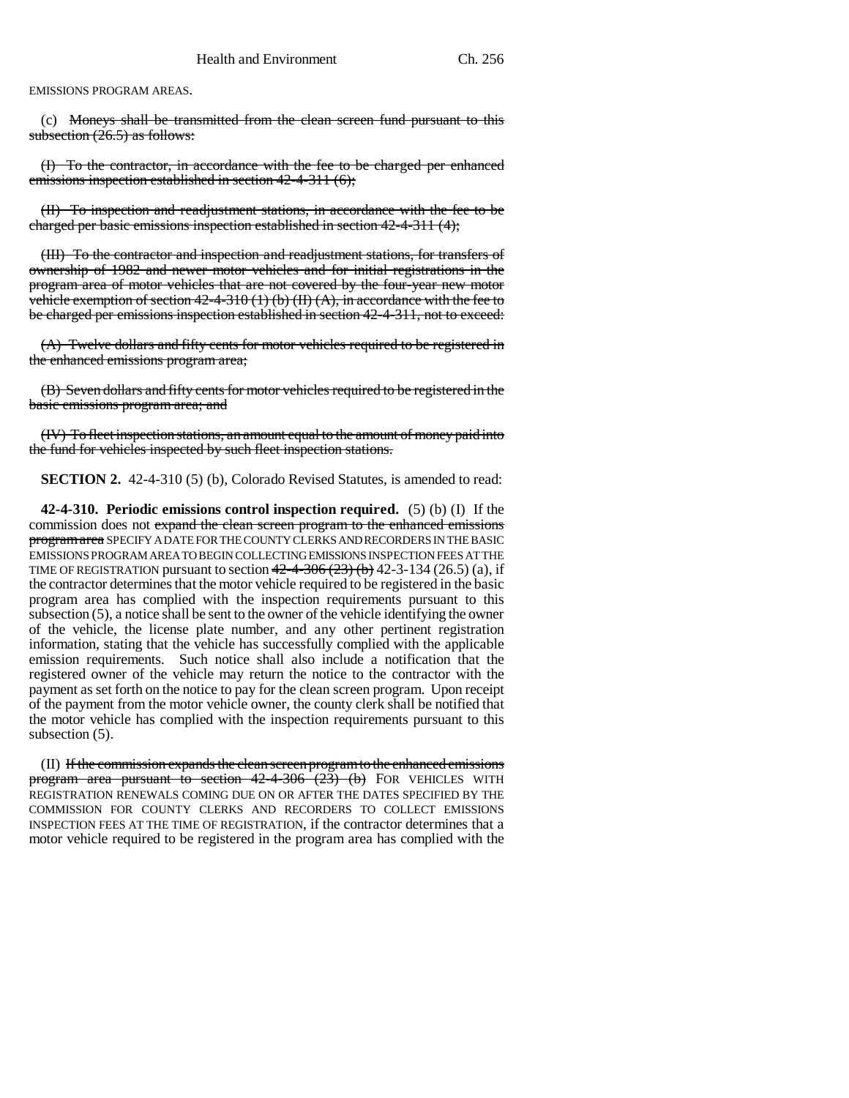EMISSIONS PROGRAM AREAS.

(c) Moneys shall be transmitted from the clean screen fund pursuant to this subsection  $(26.5)$  as follows:

(I) To the contractor, in accordance with the fee to be charged per enhanced emissions inspection established in section 42-4-311 (6);

(II) To inspection and readjustment stations, in accordance with the fee to be charged per basic emissions inspection established in section 42-4-311 (4);

(III) To the contractor and inspection and readjustment stations, for transfers of ownership of 1982 and newer motor vehicles and for initial registrations in the program area of motor vehicles that are not covered by the four-year new motor vehicle exemption of section  $42-4-310$  (1) (b) (II) (A), in accordance with the fee to be charged per emissions inspection established in section 42-4-311, not to exceed:

(A) Twelve dollars and fifty cents for motor vehicles required to be registered in the enhanced emissions program area;

(B) Seven dollars and fifty cents for motor vehicles required to be registered in the basic emissions program area; and

(IV) To fleet inspection stations, an amount equal to the amount of money paid into the fund for vehicles inspected by such fleet inspection stations.

**SECTION 2.** 42-4-310 (5) (b), Colorado Revised Statutes, is amended to read:

**42-4-310. Periodic emissions control inspection required.** (5) (b) (I) If the commission does not expand the clean screen program to the enhanced emissions program area SPECIFY A DATE FOR THE COUNTY CLERKS AND RECORDERS IN THE BASIC EMISSIONS PROGRAM AREA TO BEGIN COLLECTING EMISSIONS INSPECTION FEES AT THE TIME OF REGISTRATION pursuant to section  $42-4-306(23)$  (b) 42-3-134 (26.5) (a), if the contractor determines that the motor vehicle required to be registered in the basic program area has complied with the inspection requirements pursuant to this subsection (5), a notice shall be sent to the owner of the vehicle identifying the owner of the vehicle, the license plate number, and any other pertinent registration information, stating that the vehicle has successfully complied with the applicable emission requirements. Such notice shall also include a notification that the registered owner of the vehicle may return the notice to the contractor with the payment as set forth on the notice to pay for the clean screen program. Upon receipt of the payment from the motor vehicle owner, the county clerk shall be notified that the motor vehicle has complied with the inspection requirements pursuant to this subsection (5).

(II) If the commission expands the clean screen program to the enhanced emissions program area pursuant to section 42-4-306 (23) (b) FOR VEHICLES WITH REGISTRATION RENEWALS COMING DUE ON OR AFTER THE DATES SPECIFIED BY THE COMMISSION FOR COUNTY CLERKS AND RECORDERS TO COLLECT EMISSIONS INSPECTION FEES AT THE TIME OF REGISTRATION, if the contractor determines that a motor vehicle required to be registered in the program area has complied with the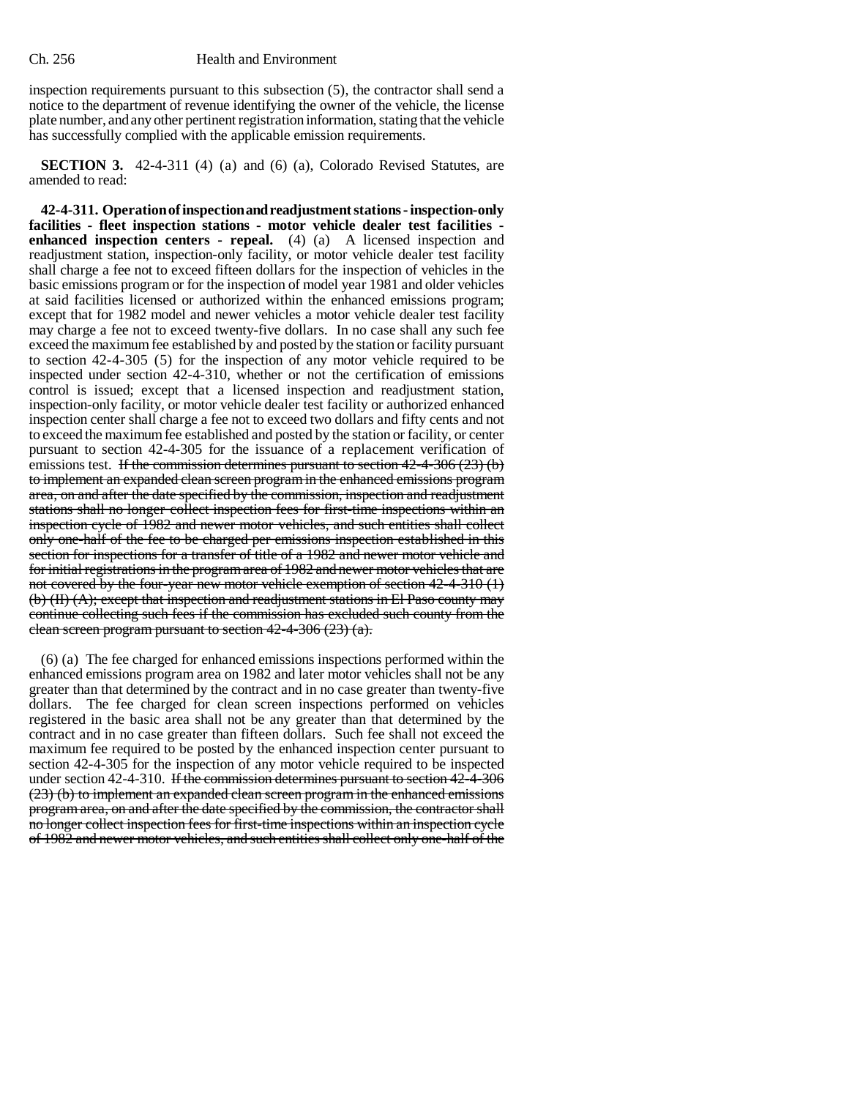inspection requirements pursuant to this subsection (5), the contractor shall send a notice to the department of revenue identifying the owner of the vehicle, the license plate number, and any other pertinent registration information, stating that the vehicle has successfully complied with the applicable emission requirements.

**SECTION 3.** 42-4-311 (4) (a) and (6) (a), Colorado Revised Statutes, are amended to read:

**42-4-311. Operation of inspection and readjustment stations - inspection-only facilities - fleet inspection stations - motor vehicle dealer test facilities enhanced inspection centers - repeal.** (4) (a) A licensed inspection and readjustment station, inspection-only facility, or motor vehicle dealer test facility shall charge a fee not to exceed fifteen dollars for the inspection of vehicles in the basic emissions program or for the inspection of model year 1981 and older vehicles at said facilities licensed or authorized within the enhanced emissions program; except that for 1982 model and newer vehicles a motor vehicle dealer test facility may charge a fee not to exceed twenty-five dollars. In no case shall any such fee exceed the maximum fee established by and posted by the station or facility pursuant to section 42-4-305 (5) for the inspection of any motor vehicle required to be inspected under section 42-4-310, whether or not the certification of emissions control is issued; except that a licensed inspection and readjustment station, inspection-only facility, or motor vehicle dealer test facility or authorized enhanced inspection center shall charge a fee not to exceed two dollars and fifty cents and not to exceed the maximum fee established and posted by the station or facility, or center pursuant to section 42-4-305 for the issuance of a replacement verification of emissions test. If the commission determines pursuant to section  $42-4-306(23)$  (b) to implement an expanded clean screen program in the enhanced emissions program area, on and after the date specified by the commission, inspection and readjustment stations shall no longer collect inspection fees for first-time inspections within an inspection cycle of 1982 and newer motor vehicles, and such entities shall collect only one-half of the fee to be charged per emissions inspection established in this section for inspections for a transfer of title of a 1982 and newer motor vehicle and for initial registrations in the program area of 1982 and newer motor vehicles that are not covered by the four-year new motor vehicle exemption of section  $42-4-310$  (1) (b) (II) (A); except that inspection and readjustment stations in El Paso county may continue collecting such fees if the commission has excluded such county from the clean screen program pursuant to section 42-4-306 (23) (a).

(6) (a) The fee charged for enhanced emissions inspections performed within the enhanced emissions program area on 1982 and later motor vehicles shall not be any greater than that determined by the contract and in no case greater than twenty-five dollars. The fee charged for clean screen inspections performed on vehicles registered in the basic area shall not be any greater than that determined by the contract and in no case greater than fifteen dollars. Such fee shall not exceed the maximum fee required to be posted by the enhanced inspection center pursuant to section 42-4-305 for the inspection of any motor vehicle required to be inspected under section 42-4-310. If the commission determines pursuant to section 42-4-306 (23) (b) to implement an expanded clean screen program in the enhanced emissions program area, on and after the date specified by the commission, the contractor shall no longer collect inspection fees for first-time inspections within an inspection cycle of 1982 and newer motor vehicles, and such entities shall collect only one-half of the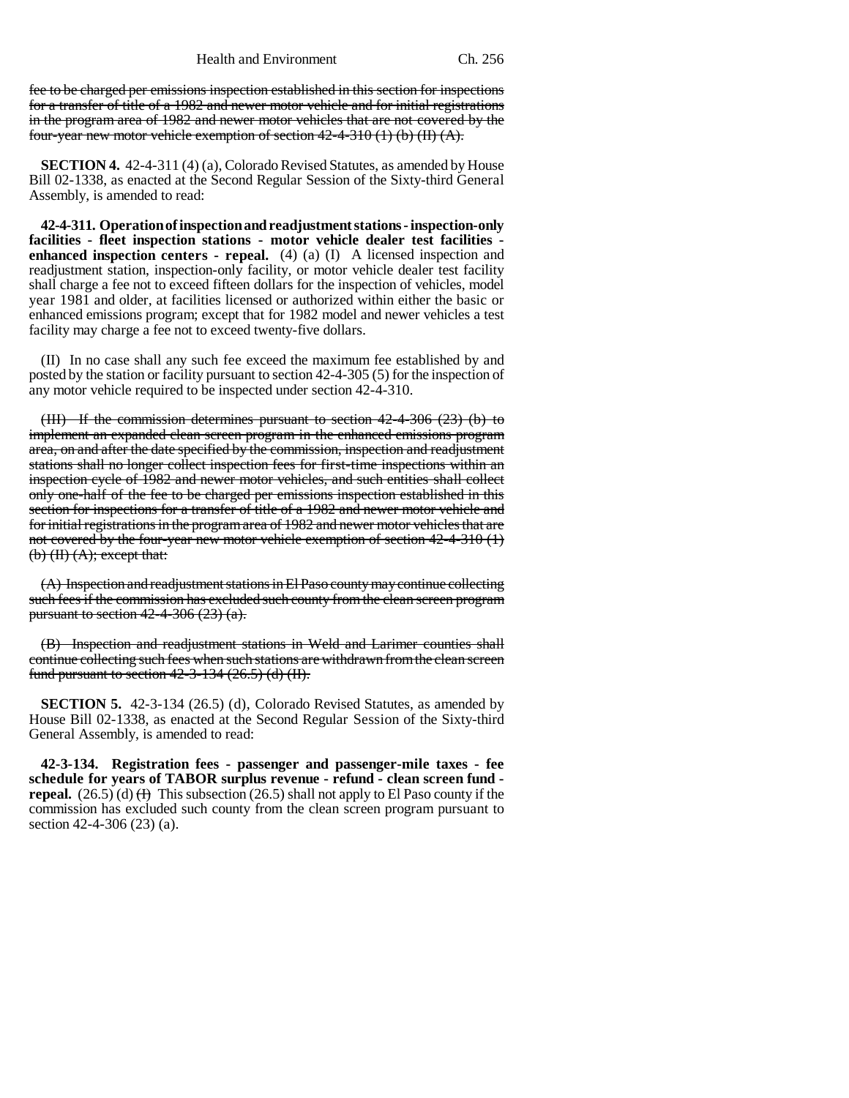Health and Environment Ch. 256

fee to be charged per emissions inspection established in this section for inspections for a transfer of title of a 1982 and newer motor vehicle and for initial registrations in the program area of 1982 and newer motor vehicles that are not covered by the four-year new motor vehicle exemption of section  $42-4-310$  (1) (b) (II) (A).

**SECTION 4.** 42-4-311 (4) (a), Colorado Revised Statutes, as amended by House Bill 02-1338, as enacted at the Second Regular Session of the Sixty-third General Assembly, is amended to read:

**42-4-311. Operation of inspection and readjustment stations - inspection-only facilities - fleet inspection stations - motor vehicle dealer test facilities enhanced inspection centers - repeal.** (4) (a) (I) A licensed inspection and readjustment station, inspection-only facility, or motor vehicle dealer test facility shall charge a fee not to exceed fifteen dollars for the inspection of vehicles, model year 1981 and older, at facilities licensed or authorized within either the basic or enhanced emissions program; except that for 1982 model and newer vehicles a test facility may charge a fee not to exceed twenty-five dollars.

(II) In no case shall any such fee exceed the maximum fee established by and posted by the station or facility pursuant to section 42-4-305 (5) for the inspection of any motor vehicle required to be inspected under section 42-4-310.

(III) If the commission determines pursuant to section 42-4-306 (23) (b) to implement an expanded clean screen program in the enhanced emissions program area, on and after the date specified by the commission, inspection and readjustment stations shall no longer collect inspection fees for first-time inspections within an inspection cycle of 1982 and newer motor vehicles, and such entities shall collect only one-half of the fee to be charged per emissions inspection established in this section for inspections for a transfer of title of a 1982 and newer motor vehicle and for initial registrations in the program area of 1982 and newer motor vehicles that are not covered by the four-year new motor vehicle exemption of section 42-4-310 (1)  $(b)$   $(H)$   $(A)$ ; except that:

(A) Inspection and readjustment stations in El Paso county may continue collecting such fees if the commission has excluded such county from the clean screen program pursuant to section  $42-4-306(23)(a)$ .

(B) Inspection and readjustment stations in Weld and Larimer counties shall continue collecting such fees when such stations are withdrawn from the clean screen fund pursuant to section  $42-3-134$   $(26.5)$  (d) (II).

**SECTION 5.** 42-3-134 (26.5) (d), Colorado Revised Statutes, as amended by House Bill 02-1338, as enacted at the Second Regular Session of the Sixty-third General Assembly, is amended to read:

**42-3-134. Registration fees - passenger and passenger-mile taxes - fee schedule for years of TABOR surplus revenue - refund - clean screen fund repeal.** (26.5) (d)  $\overline{H}$  This subsection (26.5) shall not apply to El Paso county if the commission has excluded such county from the clean screen program pursuant to section 42-4-306 (23) (a).